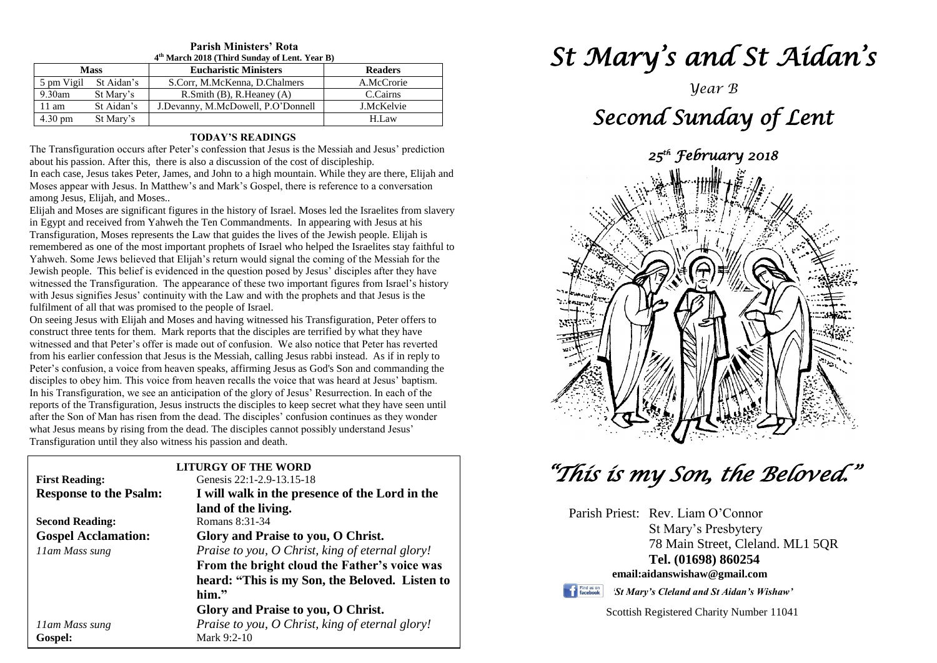## **Parish Ministers' Rota**

| 4 <sup>th</sup> March 2018 (Third Sunday of Lent. Year B) |            |                                      |                |
|-----------------------------------------------------------|------------|--------------------------------------|----------------|
| <b>Mass</b>                                               |            | <b>Eucharistic Ministers</b>         | <b>Readers</b> |
| 5 pm Vigil                                                | St Aidan's | S.Corr, M.McKenna, D.Chalmers        | A.McCrorie     |
| $9.30$ am                                                 | St Mary's  | $R.S$ mith $(B)$ , $R.H$ eaney $(A)$ | C.Cairns       |
| $11 \text{ am}$                                           | St Aidan's | J.Devanny, M.McDowell, P.O'Donnell   | J.McKelvie     |
| $4.30 \text{ pm}$                                         | St Mary's  |                                      | H.Law          |

### **TODAY'S READINGS**

The Transfiguration occurs after Peter's confession that Jesus is the Messiah and Jesus' prediction about his passion. After this, there is also a discussion of the cost of discipleship. In each case, Jesus takes Peter, James, and John to a high mountain. While they are there, Elijah and

Moses appear with Jesus. In Matthew's and Mark's Gospel, there is reference to a conversation among Jesus, Elijah, and Moses..

Elijah and Moses are significant figures in the history of Israel. Moses led the Israelites from slavery in Egypt and received from Yahweh the Ten Commandments. In appearing with Jesus at his Transfiguration, Moses represents the Law that guides the lives of the Jewish people. Elijah is remembered as one of the most important prophets of Israel who helped the Israelites stay faithful to Yahweh. Some Jews believed that Elijah's return would signal the coming of the Messiah for the Jewish people. This belief is evidenced in the question posed by Jesus' disciples after they have witnessed the Transfiguration. The appearance of these two important figures from Israel's history with Jesus signifies Jesus' continuity with the Law and with the prophets and that Jesus is the fulfilment of all that was promised to the people of Israel.

witnessed and that Peter's offer is made out of confusion. We also notice that Peter has reverted<br>from his earlier confession that Jesus is the Messiah, calling Jesus rabbi instead. As if in reply to<br>Peter's confusion, a v disciples to obey nim. This voice from neaven recalls the voice that was heard at Jesus baptism<br>In his Transfiguration, we see an anticipation of the glory of Jesus' Resurrection. In each of the<br>reports of the Transfigurat after the son of man has fised from the dead. The disciples confusion continues as they we<br>what Jesus means by rising from the dead. The disciples cannot possibly understand Jesus'<br>Transfiguration until they also witness h On seeing Jesus with Elijah and Moses and having witnessed his Transfiguration, Peter offers to construct three tents for them. Mark reports that the disciples are terrified by what they have witnessed and that Peter's offer is made out of confusion. We also notice that Peter has reverted Peter's confusion, a voice from heaven speaks, affirming Jesus as God's Son and commanding the disciples to obey him. This voice from heaven recalls the voice that was heard at Jesus' baptism. reports of the Transfiguration, Jesus instructs the disciples to keep secret what they have seen until after the Son of Man has risen from the dead. The disciples' confusion continues as they wonder Transfiguration until they also witness his passion and death.

|                               | LITURGY OF THE WORD                             |  |
|-------------------------------|-------------------------------------------------|--|
| <b>First Reading:</b>         | Genesis 22:1-2.9-13.15-18                       |  |
| <b>Response to the Psalm:</b> | I will walk in the presence of the Lord in the  |  |
|                               | land of the living.                             |  |
| <b>Second Reading:</b>        | Romans 8:31-34                                  |  |
| <b>Gospel Acclamation:</b>    | Glory and Praise to you, O Christ.              |  |
| 11am Mass sung                | Praise to you, O Christ, king of eternal glory! |  |
|                               | From the bright cloud the Father's voice was    |  |
|                               | heard: "This is my Son, the Beloved. Listen to  |  |
|                               | $him.$ "                                        |  |
|                               | Glory and Praise to you, O Christ.              |  |
| 11am Mass sung                | Praise to you, O Christ, king of eternal glory! |  |
| Gospel:                       | Mark 9:2-10                                     |  |

# *St Mary's and St Aidan's*

*Year B*

# *Second Sunday of Lent 25th February 2018*

# *"This is my Son, the Beloved."*

Parish Priest: Rev. Liam O'Connor St Mary's Presbytery 78 Main Street, Cleland. ML1 5QR **Tel. (01698) 860254 email:aidanswishaw@gmail.com**



*'St Mary's Cleland and St Aidan's Wishaw'*

Scottish Registered Charity Number 11041